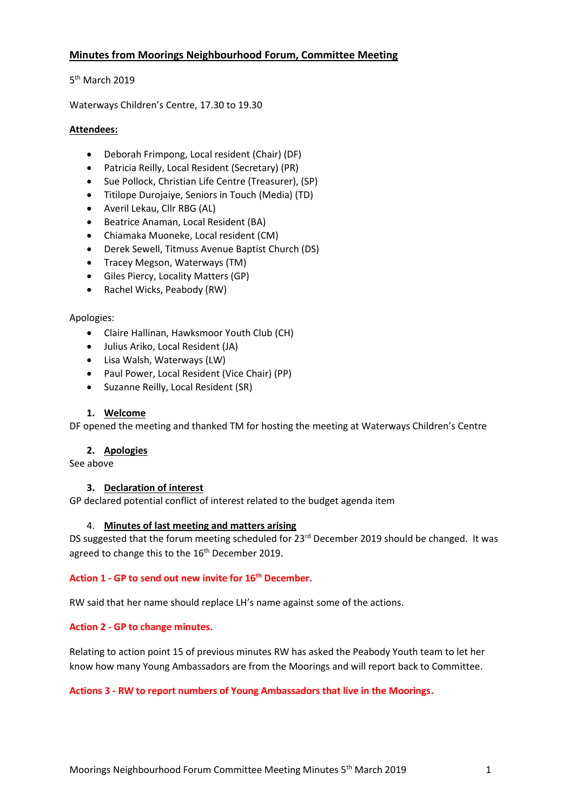## **Minutes from Moorings Neighbourhood Forum, Committee Meeting**

5<sup>th</sup> March 2019

Waterways Children's Centre, 17.30 to 19.30

## **Attendees:**

- Deborah Frimpong, Local resident (Chair) (DF)
- Patricia Reilly, Local Resident (Secretary) (PR)
- Sue Pollock, Christian Life Centre (Treasurer), (SP)
- Titilope Durojaiye, Seniors in Touch (Media) (TD)
- Averil Lekau, Cllr RBG (AL)
- Beatrice Anaman, Local Resident (BA)
- Chiamaka Muoneke, Local resident (CM)
- Derek Sewell, Titmuss Avenue Baptist Church (DS)
- Tracey Megson, Waterways (TM)
- Giles Piercy, Locality Matters (GP)
- Rachel Wicks, Peabody (RW)

## Apologies:

- Claire Hallinan, Hawksmoor Youth Club (CH)
- Julius Ariko, Local Resident (JA)
- Lisa Walsh, Waterways (LW)
- Paul Power, Local Resident (Vice Chair) (PP)
- Suzanne Reilly, Local Resident (SR)

## **1. Welcome**

DF opened the meeting and thanked TM for hosting the meeting at Waterways Children's Centre

## **2. Apologies**

See above

## **3. Declaration of interest**

GP declared potential conflict of interest related to the budget agenda item

## 4. **Minutes of last meeting and matters arising**

DS suggested that the forum meeting scheduled for 23<sup>rd</sup> December 2019 should be changed. It was agreed to change this to the 16<sup>th</sup> December 2019.

## **Action 1 - GP to send out new invite for 16th December.**

RW said that her name should replace LH's name against some of the actions.

## **Action 2 - GP to change minutes.**

Relating to action point 15 of previous minutes RW has asked the Peabody Youth team to let her know how many Young Ambassadors are from the Moorings and will report back to Committee.

## **Actions 3 - RW to report numbers of Young Ambassadors that live in the Moorings.**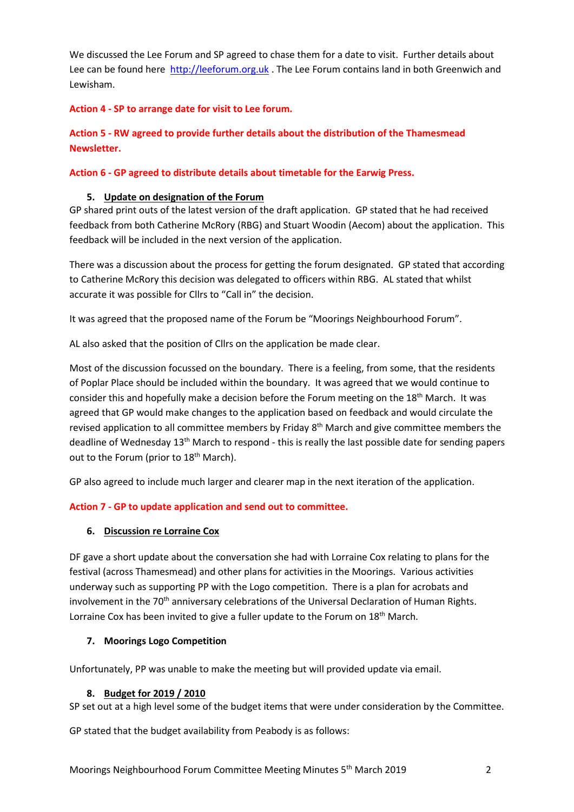We discussed the Lee Forum and SP agreed to chase them for a date to visit. Further details about Lee can be found here [http://leeforum.org.uk](http://leeforum.org.uk/) . The Lee Forum contains land in both Greenwich and Lewisham.

**Action 4 - SP to arrange date for visit to Lee forum.**

# **Action 5 - RW agreed to provide further details about the distribution of the Thamesmead Newsletter.**

## **Action 6 - GP agreed to distribute details about timetable for the Earwig Press.**

## **5. Update on designation of the Forum**

GP shared print outs of the latest version of the draft application. GP stated that he had received feedback from both Catherine McRory (RBG) and Stuart Woodin (Aecom) about the application. This feedback will be included in the next version of the application.

There was a discussion about the process for getting the forum designated. GP stated that according to Catherine McRory this decision was delegated to officers within RBG. AL stated that whilst accurate it was possible for Cllrs to "Call in" the decision.

It was agreed that the proposed name of the Forum be "Moorings Neighbourhood Forum".

AL also asked that the position of Cllrs on the application be made clear.

Most of the discussion focussed on the boundary. There is a feeling, from some, that the residents of Poplar Place should be included within the boundary. It was agreed that we would continue to consider this and hopefully make a decision before the Forum meeting on the 18<sup>th</sup> March. It was agreed that GP would make changes to the application based on feedback and would circulate the revised application to all committee members by Friday 8<sup>th</sup> March and give committee members the deadline of Wednesday 13<sup>th</sup> March to respond - this is really the last possible date for sending papers out to the Forum (prior to  $18<sup>th</sup>$  March).

GP also agreed to include much larger and clearer map in the next iteration of the application.

# **Action 7 - GP to update application and send out to committee.**

# **6. Discussion re Lorraine Cox**

DF gave a short update about the conversation she had with Lorraine Cox relating to plans for the festival (across Thamesmead) and other plans for activities in the Moorings. Various activities underway such as supporting PP with the Logo competition. There is a plan for acrobats and involvement in the 70<sup>th</sup> anniversary celebrations of the Universal Declaration of Human Rights. Lorraine Cox has been invited to give a fuller update to the Forum on 18<sup>th</sup> March.

# **7. Moorings Logo Competition**

Unfortunately, PP was unable to make the meeting but will provided update via email.

## **8. Budget for 2019 / 2010**

SP set out at a high level some of the budget items that were under consideration by the Committee.

GP stated that the budget availability from Peabody is as follows: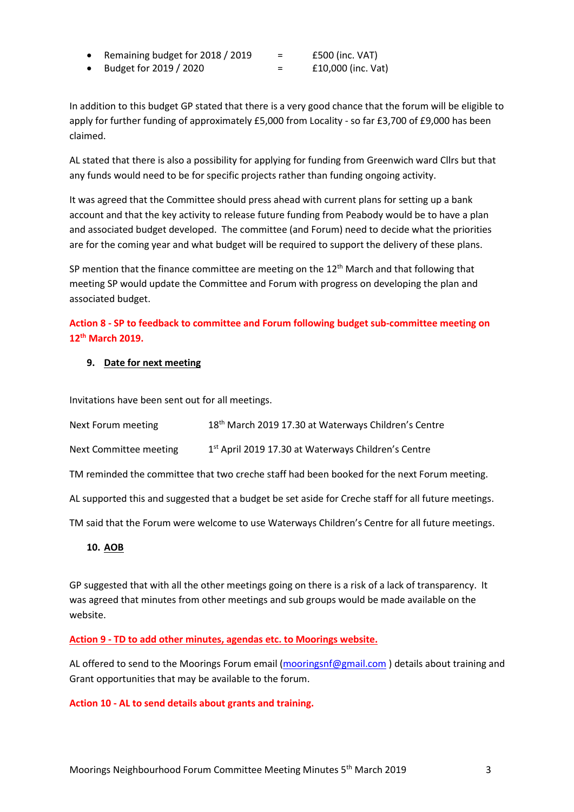- Remaining budget for 2018 / 2019 = £500 (inc. VAT)
- Budget for 2019 / 2020 = £10,000 (inc. Vat)

In addition to this budget GP stated that there is a very good chance that the forum will be eligible to apply for further funding of approximately £5,000 from Locality - so far £3,700 of £9,000 has been claimed.

AL stated that there is also a possibility for applying for funding from Greenwich ward Cllrs but that any funds would need to be for specific projects rather than funding ongoing activity.

It was agreed that the Committee should press ahead with current plans for setting up a bank account and that the key activity to release future funding from Peabody would be to have a plan and associated budget developed. The committee (and Forum) need to decide what the priorities are for the coming year and what budget will be required to support the delivery of these plans.

SP mention that the finance committee are meeting on the  $12<sup>th</sup>$  March and that following that meeting SP would update the Committee and Forum with progress on developing the plan and associated budget.

# **Action 8 - SP to feedback to committee and Forum following budget sub-committee meeting on 12th March 2019.**

## **9. Date for next meeting**

Invitations have been sent out for all meetings.

| <b>Next Forum meeting</b>                                                                            | 18 <sup>th</sup> March 2019 17.30 at Waterways Children's Centre |  |  |  |
|------------------------------------------------------------------------------------------------------|------------------------------------------------------------------|--|--|--|
| <b>Next Committee meeting</b>                                                                        | 1 <sup>st</sup> April 2019 17.30 at Waterways Children's Centre  |  |  |  |
| TM reminded the committee that two creche staff had been booked for the next Forum meeting.          |                                                                  |  |  |  |
| AL supported this and suggested that a budget be set aside for Creche staff for all future meetings. |                                                                  |  |  |  |
| TM said that the Forum were welcome to use Waterways Children's Centre for all future meetings.      |                                                                  |  |  |  |

# **10. AOB**

GP suggested that with all the other meetings going on there is a risk of a lack of transparency. It was agreed that minutes from other meetings and sub groups would be made available on the website.

## **Action 9 - TD to add other minutes, agendas etc. to Moorings website.**

AL offered to send to the Moorings Forum email [\(mooringsnf@gmail.com](mailto:mooringsnf@gmail.com)) details about training and Grant opportunities that may be available to the forum.

## **Action 10 - AL to send details about grants and training.**